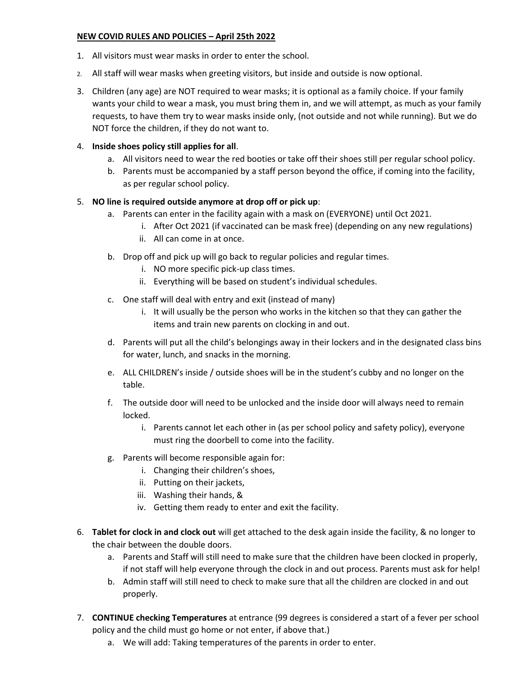#### **NEW COVID RULES AND POLICIES – April 25th 2022**

- 1. All visitors must wear masks in order to enter the school.
- 2. All staff will wear masks when greeting visitors, but inside and outside is now optional.
- 3. Children (any age) are NOT required to wear masks; it is optional as a family choice. If your family wants your child to wear a mask, you must bring them in, and we will attempt, as much as your family requests, to have them try to wear masks inside only, (not outside and not while running). But we do NOT force the children, if they do not want to.

## 4. **Inside shoes policy still applies for all**.

- a. All visitors need to wear the red booties or take off their shoes still per regular school policy.
- b. Parents must be accompanied by a staff person beyond the office, if coming into the facility, as per regular school policy.

## 5. **NO line is required outside anymore at drop off or pick up**:

- a. Parents can enter in the facility again with a mask on (EVERYONE) until Oct 2021.
	- i. After Oct 2021 (if vaccinated can be mask free) (depending on any new regulations)
	- ii. All can come in at once.
- b. Drop off and pick up will go back to regular policies and regular times.
	- i. NO more specific pick-up class times.
	- ii. Everything will be based on student's individual schedules.
- c. One staff will deal with entry and exit (instead of many)
	- i. It will usually be the person who works in the kitchen so that they can gather the items and train new parents on clocking in and out.
- d. Parents will put all the child's belongings away in their lockers and in the designated class bins for water, lunch, and snacks in the morning.
- e. ALL CHILDREN's inside / outside shoes will be in the student's cubby and no longer on the table.
- f. The outside door will need to be unlocked and the inside door will always need to remain locked.
	- i. Parents cannot let each other in (as per school policy and safety policy), everyone must ring the doorbell to come into the facility.
- g. Parents will become responsible again for:
	- i. Changing their children's shoes,
	- ii. Putting on their jackets,
	- iii. Washing their hands, &
	- iv. Getting them ready to enter and exit the facility.
- 6. **Tablet for clock in and clock out** will get attached to the desk again inside the facility, & no longer to the chair between the double doors.
	- a. Parents and Staff will still need to make sure that the children have been clocked in properly, if not staff will help everyone through the clock in and out process. Parents must ask for help!
	- b. Admin staff will still need to check to make sure that all the children are clocked in and out properly.
- 7. **CONTINUE checking Temperatures** at entrance (99 degrees is considered a start of a fever per school policy and the child must go home or not enter, if above that.)
	- a. We will add: Taking temperatures of the parents in order to enter.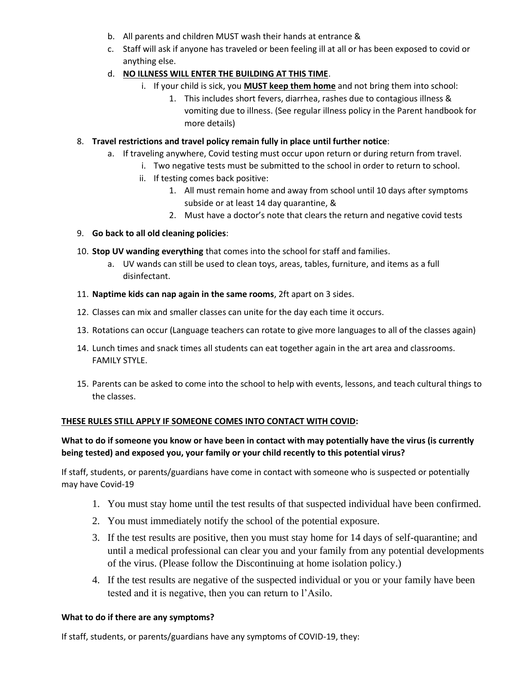- b. All parents and children MUST wash their hands at entrance &
- c. Staff will ask if anyone has traveled or been feeling ill at all or has been exposed to covid or anything else.
- d. **NO ILLNESS WILL ENTER THE BUILDING AT THIS TIME**.
	- i. If your child is sick, you **MUST keep them home** and not bring them into school:
		- 1. This includes short fevers, diarrhea, rashes due to contagious illness & vomiting due to illness. (See regular illness policy in the Parent handbook for more details)
- 8. **Travel restrictions and travel policy remain fully in place until further notice**:
	- a. If traveling anywhere, Covid testing must occur upon return or during return from travel.
		- i. Two negative tests must be submitted to the school in order to return to school.
		- ii. If testing comes back positive:
			- 1. All must remain home and away from school until 10 days after symptoms subside or at least 14 day quarantine, &
			- 2. Must have a doctor's note that clears the return and negative covid tests

#### 9. **Go back to all old cleaning policies**:

- 10. **Stop UV wanding everything** that comes into the school for staff and families.
	- a. UV wands can still be used to clean toys, areas, tables, furniture, and items as a full disinfectant.
- 11. **Naptime kids can nap again in the same rooms**, 2ft apart on 3 sides.
- 12. Classes can mix and smaller classes can unite for the day each time it occurs.
- 13. Rotations can occur (Language teachers can rotate to give more languages to all of the classes again)
- 14. Lunch times and snack times all students can eat together again in the art area and classrooms. FAMILY STYLE.
- 15. Parents can be asked to come into the school to help with events, lessons, and teach cultural things to the classes.

#### **THESE RULES STILL APPLY IF SOMEONE COMES INTO CONTACT WITH COVID:**

## **What to do if someone you know or have been in contact with may potentially have the virus (is currently being tested) and exposed you, your family or your child recently to this potential virus?**

If staff, students, or parents/guardians have come in contact with someone who is suspected or potentially may have Covid-19

- 1. You must stay home until the test results of that suspected individual have been confirmed.
- 2. You must immediately notify the school of the potential exposure.
- 3. If the test results are positive, then you must stay home for 14 days of self-quarantine; and until a medical professional can clear you and your family from any potential developments of the virus. (Please follow the Discontinuing at home isolation policy.)
- 4. If the test results are negative of the suspected individual or you or your family have been tested and it is negative, then you can return to l'Asilo.

#### **What to do if there are any symptoms?**

If staff, students, or parents/guardians have any symptoms of COVID-19, they: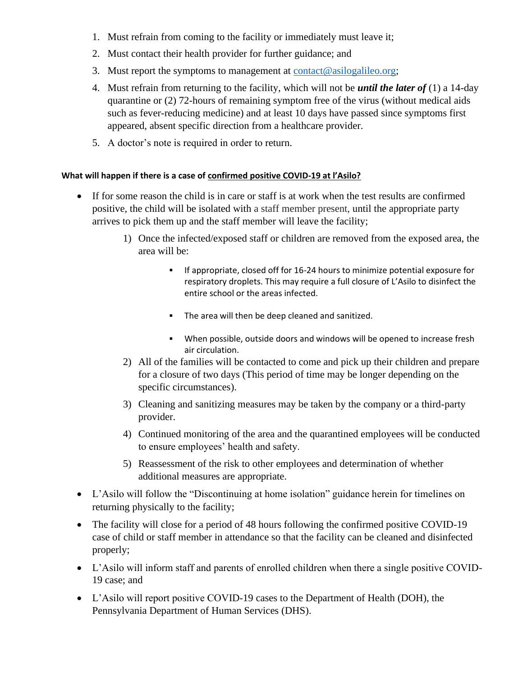- 1. Must refrain from coming to the facility or immediately must leave it;
- 2. Must contact their health provider for further guidance; and
- 3. Must report the symptoms to management at [contact@asilogalileo.org;](mailto:contact@asilogalileo.org)
- 4. Must refrain from returning to the facility, which will not be *until the later of* (1) a 14-day quarantine or (2) 72-hours of remaining symptom free of the virus (without medical aids such as fever-reducing medicine) and at least 10 days have passed since symptoms first appeared, absent specific direction from a healthcare provider.
- 5. A doctor's note is required in order to return.

# **What will happen if there is a case of confirmed positive COVID-19 at l'Asilo?**

- If for some reason the child is in care or staff is at work when the test results are confirmed positive, the child will be isolated with a staff member present, until the appropriate party arrives to pick them up and the staff member will leave the facility;
	- 1) Once the infected/exposed staff or children are removed from the exposed area, the area will be:
		- **•** If appropriate, closed off for 16-24 hours to minimize potential exposure for respiratory droplets. This may require a full closure of L'Asilo to disinfect the entire school or the areas infected.
		- The area will then be deep cleaned and sanitized.
		- When possible, outside doors and windows will be opened to increase fresh air circulation.
	- 2) All of the families will be contacted to come and pick up their children and prepare for a closure of two days (This period of time may be longer depending on the specific circumstances).
	- 3) Cleaning and sanitizing measures may be taken by the company or a third-party provider.
	- 4) Continued monitoring of the area and the quarantined employees will be conducted to ensure employees' health and safety.
	- 5) Reassessment of the risk to other employees and determination of whether additional measures are appropriate.
- L'Asilo will follow the "Discontinuing at home isolation" guidance herein for timelines on returning physically to the facility;
- The facility will close for a period of 48 hours following the confirmed positive COVID-19 case of child or staff member in attendance so that the facility can be cleaned and disinfected properly;
- L'Asilo will inform staff and parents of enrolled children when there a single positive COVID-19 case; and
- L'Asilo will report positive COVID-19 cases to the Department of Health (DOH), the Pennsylvania Department of Human Services (DHS).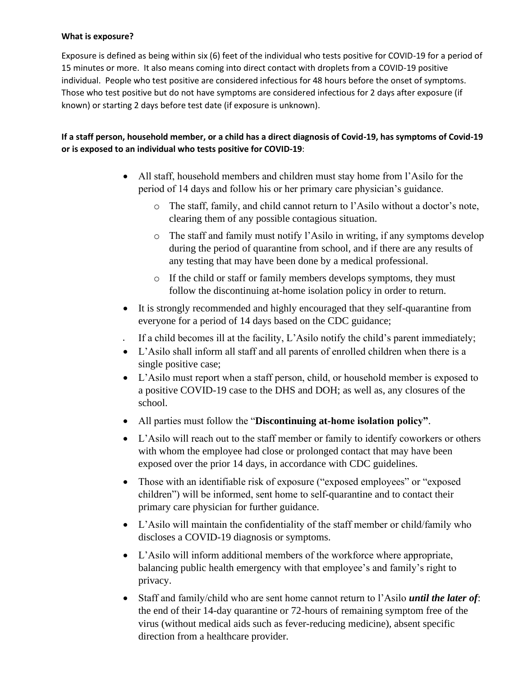#### **What is exposure?**

Exposure is defined as being within six (6) feet of the individual who tests positive for COVID-19 for a period of 15 minutes or more. It also means coming into direct contact with droplets from a COVID-19 positive individual. People who test positive are considered infectious for 48 hours before the onset of symptoms. Those who test positive but do not have symptoms are considered infectious for 2 days after exposure (if known) or starting 2 days before test date (if exposure is unknown).

# **If a staff person, household member, or a child has a direct diagnosis of Covid-19, has symptoms of Covid-19 or is exposed to an individual who tests positive for COVID-19**:

- All staff, household members and children must stay home from l'Asilo for the period of 14 days and follow his or her primary care physician's guidance.
	- o The staff, family, and child cannot return to l'Asilo without a doctor's note, clearing them of any possible contagious situation.
	- o The staff and family must notify l'Asilo in writing, if any symptoms develop during the period of quarantine from school, and if there are any results of any testing that may have been done by a medical professional.
	- o If the child or staff or family members develops symptoms, they must follow the discontinuing at-home isolation policy in order to return.
- It is strongly recommended and highly encouraged that they self-quarantine from everyone for a period of 14 days based on the CDC guidance;
- If a child becomes ill at the facility,  $L$ 'Asilo notify the child's parent immediately;
- L'Asilo shall inform all staff and all parents of enrolled children when there is a single positive case;
- L'Asilo must report when a staff person, child, or household member is exposed to a positive COVID-19 case to the DHS and DOH; as well as, any closures of the school.
- All parties must follow the "**Discontinuing at-home isolation policy"**.
- L'Asilo will reach out to the staff member or family to identify coworkers or others with whom the employee had close or prolonged contact that may have been exposed over the prior 14 days, in accordance with CDC guidelines.
- Those with an identifiable risk of exposure ("exposed employees" or "exposed children") will be informed, sent home to self-quarantine and to contact their primary care physician for further guidance.
- L'Asilo will maintain the confidentiality of the staff member or child/family who discloses a COVID-19 diagnosis or symptoms.
- L'Asilo will inform additional members of the workforce where appropriate, balancing public health emergency with that employee's and family's right to privacy.
- Staff and family/child who are sent home cannot return to l'Asilo *until the later of*: the end of their 14-day quarantine or 72-hours of remaining symptom free of the virus (without medical aids such as fever-reducing medicine), absent specific direction from a healthcare provider.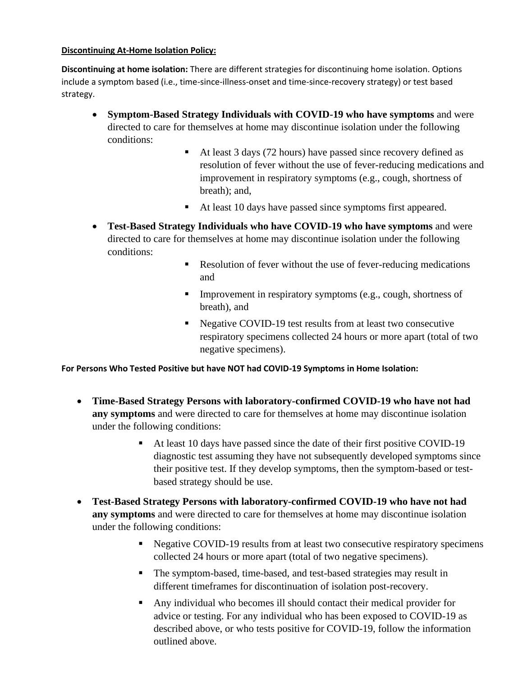#### **Discontinuing At-Home Isolation Policy:**

**Discontinuing at home isolation:** There are different strategies for discontinuing home isolation. Options include a symptom based (i.e., time-since-illness-onset and time-since-recovery strategy) or test based strategy.

- **Symptom-Based Strategy Individuals with COVID-19 who have symptoms** and were directed to care for themselves at home may discontinue isolation under the following conditions:
	- At least 3 days (72 hours) have passed since recovery defined as resolution of fever without the use of fever-reducing medications and improvement in respiratory symptoms (e.g., cough, shortness of breath); and,
	- At least 10 days have passed since symptoms first appeared.
- **Test-Based Strategy Individuals who have COVID-19 who have symptoms** and were directed to care for themselves at home may discontinue isolation under the following conditions:
	- Resolution of fever without the use of fever-reducing medications and
	- **Improvement in respiratory symptoms (e.g., cough, shortness of** breath), and
	- Negative COVID-19 test results from at least two consecutive respiratory specimens collected 24 hours or more apart (total of two negative specimens).

**For Persons Who Tested Positive but have NOT had COVID-19 Symptoms in Home Isolation:** 

- **Time-Based Strategy Persons with laboratory-confirmed COVID-19 who have not had any symptoms** and were directed to care for themselves at home may discontinue isolation under the following conditions:
	- At least 10 days have passed since the date of their first positive COVID-19 diagnostic test assuming they have not subsequently developed symptoms since their positive test. If they develop symptoms, then the symptom-based or testbased strategy should be use.
- **Test-Based Strategy Persons with laboratory-confirmed COVID-19 who have not had any symptoms** and were directed to care for themselves at home may discontinue isolation under the following conditions:
	- **EXECUTE 19 18** results from at least two consecutive respiratory specimens collected 24 hours or more apart (total of two negative specimens).
	- The symptom-based, time-based, and test-based strategies may result in different timeframes for discontinuation of isolation post-recovery.
	- Any individual who becomes ill should contact their medical provider for advice or testing. For any individual who has been exposed to COVID-19 as described above, or who tests positive for COVID-19, follow the information outlined above.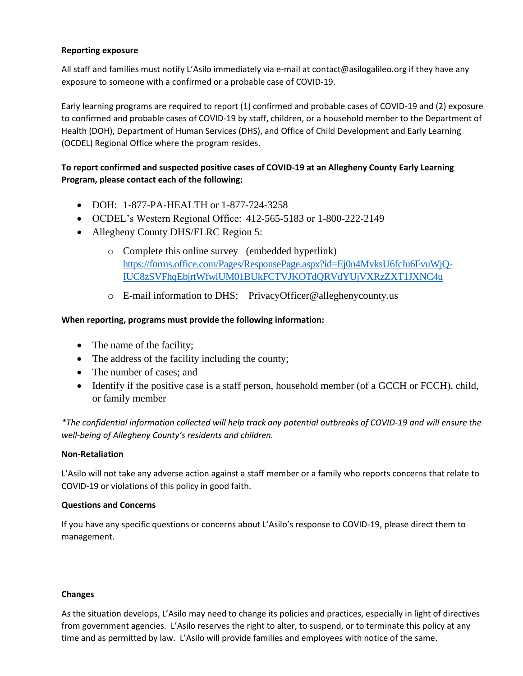#### **Reporting exposure**

All staff and families must notify L'Asilo immediately via e-mail at contact@asilogalileo.org if they have any exposure to someone with a confirmed or a probable case of COVID-19.

Early learning programs are required to report (1) confirmed and probable cases of COVID-19 and (2) exposure to confirmed and probable cases of COVID-19 by staff, children, or a household member to the Department of Health (DOH), Department of Human Services (DHS), and Office of Child Development and Early Learning (OCDEL) Regional Office where the program resides.

# **To report confirmed and suspected positive cases of COVID-19 at an Allegheny County Early Learning Program, please contact each of the following:**

- DOH: 1-877-PA-HEALTH or 1-877-724-3258
- OCDEL's Western Regional Office: 412-565-5183 or 1-800-222-2149
- Allegheny County DHS/ELRC Region 5:
	- o [Complete this online survey](https://forms.office.com/Pages/ResponsePage.aspx?id=Ej0n4MvksU6fcIu6FvuWjQ-IUC8zS-VFhqEbjrtWfwlUM01BUkFCTVJKOTdQRVdYUjVXRzZXT1JXNC4u) (embedded hyperlink) [https://forms.office.com/Pages/ResponsePage.aspx?id=Ej0n4MvksU6fcIu6FvuWjQ-](https://forms.office.com/Pages/ResponsePage.aspx?id=Ej0n4MvksU6fcIu6FvuWjQ-IUC8zSVFhqEbjrtWfwlUM01BUkFCTVJKOTdQRVdYUjVXRzZXT1JXNC4u)[IUC8zSVFhqEbjrtWfwlUM01BUkFCTVJKOTdQRVdYUjVXRzZXT1JXNC4u](https://forms.office.com/Pages/ResponsePage.aspx?id=Ej0n4MvksU6fcIu6FvuWjQ-IUC8zSVFhqEbjrtWfwlUM01BUkFCTVJKOTdQRVdYUjVXRzZXT1JXNC4u)
	- o E-mail information to DHS: PrivacyOfficer@alleghenycounty.us

## **When reporting, programs must provide the following information:**

- The name of the facility;
- The address of the facility including the county;
- The number of cases; and
- Identify if the positive case is a staff person, household member (of a GCCH or FCCH), child, or family member

*\*The confidential information collected will help track any potential outbreaks of COVID-19 and will ensure the well-being of Allegheny County's residents and children.*

#### **Non-Retaliation**

L'Asilo will not take any adverse action against a staff member or a family who reports concerns that relate to COVID-19 or violations of this policy in good faith.

#### **Questions and Concerns**

If you have any specific questions or concerns about L'Asilo's response to COVID-19, please direct them to management.

#### **Changes**

As the situation develops, L'Asilo may need to change its policies and practices, especially in light of directives from government agencies. L'Asilo reserves the right to alter, to suspend, or to terminate this policy at any time and as permitted by law. L'Asilo will provide families and employees with notice of the same.